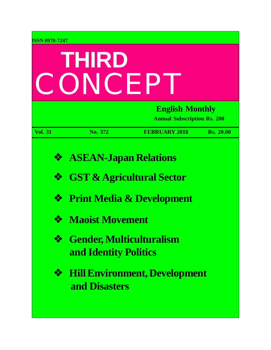| <b>ISSN 0970-7247</b> |                                                                                                                                                            |                                      |                                                              |  |
|-----------------------|------------------------------------------------------------------------------------------------------------------------------------------------------------|--------------------------------------|--------------------------------------------------------------|--|
| THIRD<br>ONCEP        |                                                                                                                                                            |                                      |                                                              |  |
|                       |                                                                                                                                                            |                                      | <b>English Monthly</b><br><b>Annual Subscription Rs. 200</b> |  |
| <b>Vol. 31</b>        | No. 372                                                                                                                                                    | <b>FEBRUARY 2018</b>                 | <b>Rs. 20.00</b>                                             |  |
| ❖<br>❖<br>❖<br>❖<br>❖ | <b>ASEAN-Japan Relations</b><br><b>GST &amp; Agricultural Sector</b><br><b>Maoist Movement</b><br><b>Gender, Multiculturalism</b><br>and Identity Politics | <b>Print Media &amp; Development</b> |                                                              |  |
| ❖                     | and Disasters                                                                                                                                              | <b>Hill Environment, Development</b> |                                                              |  |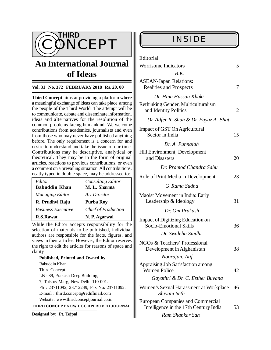

# **An International Journal of Ideas**

### **Vol. 31 No. 372 FEBRUARY 2018 Rs. 20. 00**

**Third Concept** aims at providing a platform where a meaningful exchange of ideas can take place among the people of the Third World. The attempt will be to communicate, debate and disseminate information, ideas and alternatives for the resolution of the common problems facing humankind. We welcome contributions from academics, journalists and even from those who may never have published anything before. The only requirement is a concern for and desire to understand and take the issue of our time. Contributions may be descriptive, analytical or theoretical. They may be in the form of original articles, reactions to previous contributions, or even a comment on a prevailing situation. All contributions, neatly typed in double space, may be addressed to:

| Editor                    | <b>Consulting Editor</b>   |
|---------------------------|----------------------------|
| <b>Babuddin Khan</b>      | M. L. Sharma               |
| <b>Managing Editor</b>    | Art Director               |
| R. Prudhvi Raju           | Purba Roy                  |
| <b>Business Executive</b> | <b>Chief of Production</b> |
| <b>R.S.Rawat</b>          | N. P. Agarwal              |

While the Editor accepts responsibility for the selection of materials to be published, individual authors are responsible for the facts, figures, and views in their articles. However, the Editor reserves the right to edit the articles for reasons of space and clarity.

**Published, Printed and Owned by** Babuddin Khan Third Concept LB - 39, Prakash Deep Building, 7, Tolstoy Marg, New Delhi-110 001. Ph : 23711092, 23712249, Fax No: 23711092. E-mail : [third.concept@rediffmail.com](mailto:third.concept@rediffmail.com) Website: [www.thirdconceptjournal.co.in](http://www.thirdconceptjournal.co.in) **THIRD CONCEPT NOW UGC APPROVED JOURNAL**

**Designed by**: **Pt. Tejpal**

| Editorial                                                                          |    |  |
|------------------------------------------------------------------------------------|----|--|
| <b>Worrisome Indicators</b>                                                        | 5  |  |
| B.K.                                                                               |    |  |
| <b>ASEAN-Japan Relations:</b><br><b>Realities and Prospects</b>                    | 7  |  |
| Dr. Hina Hassan Khaki                                                              |    |  |
| Rethinking Gender, Multiculturalism<br>and Identity Politics                       | 12 |  |
| Dr. Adfer R. Shah & Dr. Fayaz A. Bhat                                              |    |  |
| Impact of GST On Agricultural<br>Sector in India                                   | 15 |  |
| Dr. A. Punnaiah                                                                    |    |  |
| Hill Environment, Development<br>and Disasters                                     | 20 |  |
| Dr. Pramod Chandra Sahu                                                            |    |  |
| Role of Print Media in Development                                                 | 23 |  |
| G. Rama Sudha                                                                      |    |  |
| Maoist Movement in India: Early<br>Leadership & Ideology                           | 31 |  |
| Dr. Om Prakash                                                                     |    |  |
| Impact of Digitizing Education on<br>Socio-Emotional Skills                        | 36 |  |
| Dr. Swaleha Sindhi                                                                 |    |  |
| NGOs & Teachers' Professional<br>Development in Afghanistan                        | 38 |  |
| Noorajan, Atif                                                                     |    |  |
| Appraising Job Satisfaction among<br><b>Women Police</b>                           | 42 |  |
| Gayathri & Dr. C. Esther Buvana                                                    |    |  |
| Women's Sexual Harassment at Workplace<br>Shivani Seth                             | 46 |  |
| <b>European Companies and Commercial</b><br>Intelligence in the 17th Century India |    |  |
| Ram Shankar Sah                                                                    |    |  |